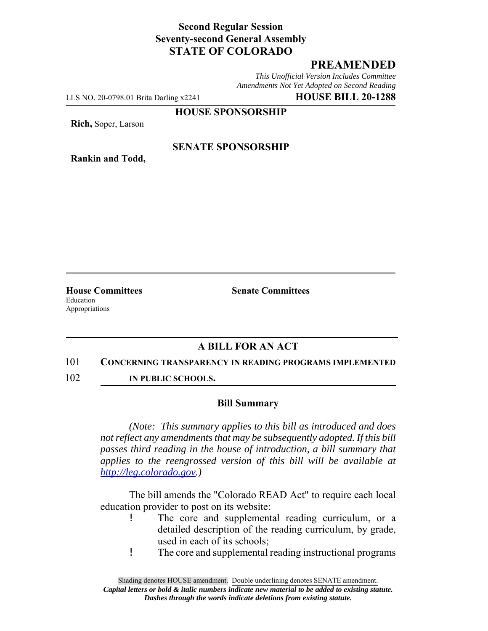## **Second Regular Session Seventy-second General Assembly STATE OF COLORADO**

# **PREAMENDED**

*This Unofficial Version Includes Committee Amendments Not Yet Adopted on Second Reading*

LLS NO. 20-0798.01 Brita Darling x2241 **HOUSE BILL 20-1288**

**HOUSE SPONSORSHIP**

**Rich,** Soper, Larson

**Rankin and Todd,**

#### **SENATE SPONSORSHIP**

Education Appropriations

**House Committees Senate Committees** 

## **A BILL FOR AN ACT**

#### 101 **CONCERNING TRANSPARENCY IN READING PROGRAMS IMPLEMENTED**

102 **IN PUBLIC SCHOOLS.**

#### **Bill Summary**

*(Note: This summary applies to this bill as introduced and does not reflect any amendments that may be subsequently adopted. If this bill passes third reading in the house of introduction, a bill summary that applies to the reengrossed version of this bill will be available at http://leg.colorado.gov.)*

The bill amends the "Colorado READ Act" to require each local education provider to post on its website:

- ! The core and supplemental reading curriculum, or a detailed description of the reading curriculum, by grade, used in each of its schools;
- ! The core and supplemental reading instructional programs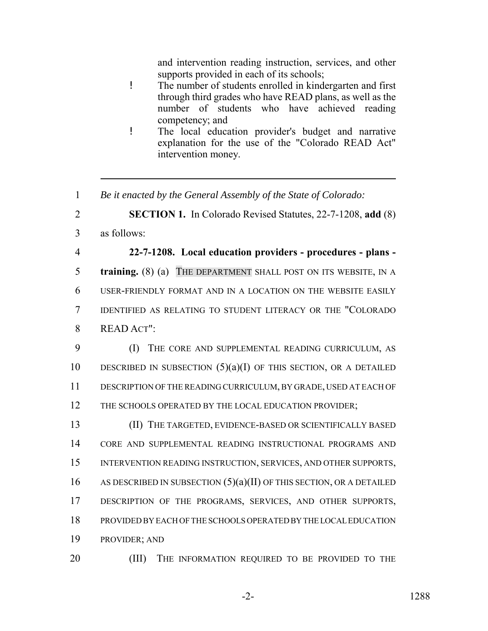and intervention reading instruction, services, and other supports provided in each of its schools;

- ! The number of students enrolled in kindergarten and first through third grades who have READ plans, as well as the number of students who have achieved reading competency; and
- ! The local education provider's budget and narrative explanation for the use of the "Colorado READ Act" intervention money.
- 1 *Be it enacted by the General Assembly of the State of Colorado:*

2 **SECTION 1.** In Colorado Revised Statutes, 22-7-1208, **add** (8)

3 as follows:

 **22-7-1208. Local education providers - procedures - plans - training.** (8) (a) THE DEPARTMENT SHALL POST ON ITS WEBSITE, IN A USER-FRIENDLY FORMAT AND IN A LOCATION ON THE WEBSITE EASILY IDENTIFIED AS RELATING TO STUDENT LITERACY OR THE "COLORADO READ ACT":

9 (I) THE CORE AND SUPPLEMENTAL READING CURRICULUM, AS 10 DESCRIBED IN SUBSECTION  $(5)(a)(I)$  OF THIS SECTION, OR A DETAILED 11 DESCRIPTION OF THE READING CURRICULUM, BY GRADE, USED AT EACH OF 12 THE SCHOOLS OPERATED BY THE LOCAL EDUCATION PROVIDER;

 (II) THE TARGETED, EVIDENCE-BASED OR SCIENTIFICALLY BASED CORE AND SUPPLEMENTAL READING INSTRUCTIONAL PROGRAMS AND INTERVENTION READING INSTRUCTION, SERVICES, AND OTHER SUPPORTS, 16 AS DESCRIBED IN SUBSECTION  $(5)(a)(II)$  OF THIS SECTION, OR A DETAILED 17 DESCRIPTION OF THE PROGRAMS, SERVICES, AND OTHER SUPPORTS, PROVIDED BY EACH OF THE SCHOOLS OPERATED BY THE LOCAL EDUCATION PROVIDER; AND

20 (III) THE INFORMATION REQUIRED TO BE PROVIDED TO THE